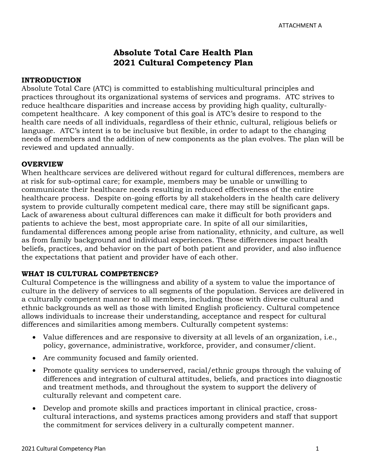# Absolute Total Care Health Plan 2021 Cultural Competency Plan

#### INTRODUCTION

 Absolute Total Care (ATC) is committed to establishing multicultural principles and practices throughout its organizational systems of services and programs. ATC strives to reduce healthcare disparities and increase access by providing high quality, culturally- competent healthcare. A key component of this goal is ATC's desire to respond to the health care needs of all individuals, regardless of their ethnic, cultural, religious beliefs or language. ATC's intent is to be inclusive but flexible, in order to adapt to the changing needs of members and the addition of new components as the plan evolves. The plan will be reviewed and updated annually.

#### **OVERVIEW**

 When healthcare services are delivered without regard for cultural differences, members are at risk for sub-optimal care; for example, members may be unable or unwilling to communicate their healthcare needs resulting in reduced effectiveness of the entire healthcare process. Despite on-going efforts by all stakeholders in the health care delivery system to provide culturally competent medical care, there may still be significant gaps. Lack of awareness about cultural differences can make it difficult for both providers and patients to achieve the best, most appropriate care. In spite of all our similarities, fundamental differences among people arise from nationality, ethnicity, and culture, as well as from family background and individual experiences. These differences impact health beliefs, practices, and behavior on the part of both patient and provider, and also influence the expectations that patient and provider have of each other.

#### WHAT IS CULTURAL COMPETENCE?

 Cultural Competence is the willingness and ability of a system to value the importance of culture in the delivery of services to all segments of the population. Services are delivered in a culturally competent manner to all members, including those with diverse cultural and ethnic backgrounds as well as those with limited English proficiency. Cultural competence allows individuals to increase their understanding, acceptance and respect for cultural differences and similarities among members. Culturally competent systems:

- • Value differences and are responsive to diversity at all levels of an organization, i.e., policy, governance, administrative, workforce, provider, and consumer/client.
- Are community focused and family oriented.
- • Promote quality services to underserved, racial/ethnic groups through the valuing of differences and integration of cultural attitudes, beliefs, and practices into diagnostic and treatment methods, and throughout the system to support the delivery of culturally relevant and competent care.
- • Develop and promote skills and practices important in clinical practice, cross- cultural interactions, and systems practices among providers and staff that support the commitment for services delivery in a culturally competent manner.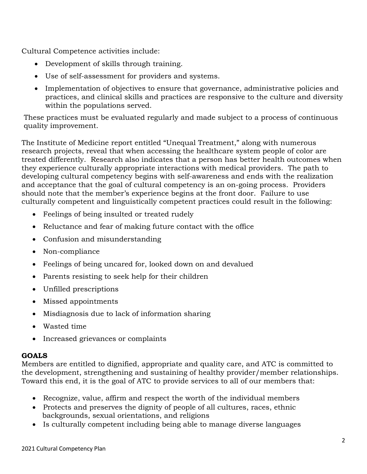Cultural Competence activities include:

- Development of skills through training.
- Use of self-assessment for providers and systems.
- • Implementation of objectives to ensure that governance, administrative policies and practices, and clinical skills and practices are responsive to the culture and diversity within the populations served.

 These practices must be evaluated regularly and made subject to a process of continuous quality improvement.

 The Institute of Medicine report entitled "Unequal Treatment," along with numerous research projects, reveal that when accessing the healthcare system people of color are treated differently. Research also indicates that a person has better health outcomes when they experience culturally appropriate interactions with medical providers. The path to developing cultural competency begins with self-awareness and ends with the realization and acceptance that the goal of cultural competency is an on-going process. Providers should note that the member's experience begins at the front door. Failure to use culturally competent and linguistically competent practices could result in the following:

- Feelings of being insulted or treated rudely
- Reluctance and fear of making future contact with the office
- Confusion and misunderstanding
- Non-compliance
- Feelings of being uncared for, looked down on and devalued
- Parents resisting to seek help for their children
- Unfilled prescriptions
- Missed appointments
- Misdiagnosis due to lack of information sharing
- Wasted time
- Increased grievances or complaints

#### GOALS

 Members are entitled to dignified, appropriate and quality care, and ATC is committed to the development, strengthening and sustaining of healthy provider/member relationships. Toward this end, it is the goal of ATC to provide services to all of our members that:

- Recognize, value, affirm and respect the worth of the individual members
- • Protects and preserves the dignity of people of all cultures, races, ethnic backgrounds, sexual orientations, and religions
- Is culturally competent including being able to manage diverse languages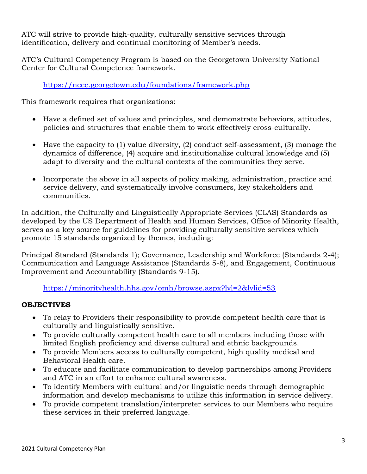ATC will strive to provide high-quality, culturally sensitive services through identification, delivery and continual monitoring of Member's needs.

 ATC's Cultural Competency Program is based on the Georgetown University National Center for Cultural Competence framework.

https://nccc.georgetown.edu/foundations/framework.php

This framework requires that organizations:

- • Have a defined set of values and principles, and demonstrate behaviors, attitudes, policies and structures that enable them to work effectively cross-culturally.
- • Have the capacity to (1) value diversity, (2) conduct self-assessment, (3) manage the dynamics of difference, (4) acquire and institutionalize cultural knowledge and (5) adapt to diversity and the cultural contexts of the communities they serve.
- • Incorporate the above in all aspects of policy making, administration, practice and service delivery, and systematically involve consumers, key stakeholders and communities.

 In addition, the Culturally and Linguistically Appropriate Services (CLAS) Standards as developed by the US Department of Health and Human Services, Office of Minority Health, serves as a key source for guidelines for providing culturally sensitive services which promote 15 standards organized by themes, including:

 Principal Standard (Standards 1); Governance, Leadership and Workforce (Standards 2-4); Communication and Language Assistance (Standards 5-8), and Engagement, Continuous Improvement and Accountability (Standards 9-15).

https://minorityhealth.hhs.gov/omh/browse.aspx?lvl=2&lvlid=53

# **OBJECTIVES**

- • To relay to Providers their responsibility to provide competent health care that is culturally and linguistically sensitive.
- • To provide culturally competent health care to all members including those with limited English proficiency and diverse cultural and ethnic backgrounds.
- • To provide Members access to culturally competent, high quality medical and Behavioral Health care.
- • To educate and facilitate communication to develop partnerships among Providers and ATC in an effort to enhance cultural awareness.
- • To identify Members with cultural and/or linguistic needs through demographic information and develop mechanisms to utilize this information in service delivery.
- • To provide competent translation/interpreter services to our Members who require these services in their preferred language.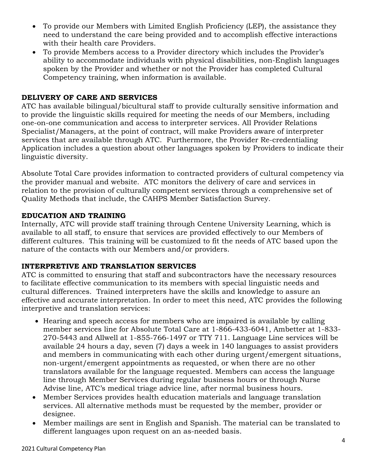- • To provide our Members with Limited English Proficiency (LEP), the assistance they need to understand the care being provided and to accomplish effective interactions with their health care Providers.
- • To provide Members access to a Provider directory which includes the Provider's ability to accommodate individuals with physical disabilities, non-English languages spoken by the Provider and whether or not the Provider has completed Cultural Competency training, when information is available.

# DELIVERY OF CARE AND SERVICES

 ATC has available bilingual/bicultural staff to provide culturally sensitive information and to provide the linguistic skills required for meeting the needs of our Members, including one-on-one communication and access to interpreter services. All Provider Relations Specialist/Managers, at the point of contract, will make Providers aware of interpreter services that are available through ATC. Furthermore, the Provider Re-credentialing Application includes a question about other languages spoken by Providers to indicate their linguistic diversity.

 Absolute Total Care provides information to contracted providers of cultural competency via the provider manual and website. ATC monitors the delivery of care and services in relation to the provision of culturally competent services through a comprehensive set of Quality Methods that include, the CAHPS Member Satisfaction Survey.

### EDUCATION AND TRAINING

 Internally, ATC will provide staff training through Centene University Learning, which is available to all staff, to ensure that services are provided effectively to our Members of different cultures. This training will be customized to fit the needs of ATC based upon the nature of the contacts with our Members and/or providers.

#### INTERPRETIVE AND TRANSLATION SERVICES

 ATC is committed to ensuring that staff and subcontractors have the necessary resources to facilitate effective communication to its members with special linguistic needs and cultural differences. Trained interpreters have the skills and knowledge to assure an effective and accurate interpretation. In order to meet this need, ATC provides the following interpretive and translation services:

- • Hearing and speech access for members who are impaired is available by calling member services line for Absolute Total Care at 1-866-433-6041, Ambetter at 1-833- 270-5443 and Allwell at 1-855-766-1497 or TTY 711. Language Line services will be available 24 hours a day, seven (7) days a week in 140 languages to assist providers and members in communicating with each other during urgent/emergent situations, non-urgent/emergent appointments as requested, or when there are no other translators available for the language requested. Members can access the language line through Member Services during regular business hours or through Nurse Advise line, ATC's medical triage advice line, after normal business hours.
- • Member Services provides health education materials and language translation services. All alternative methods must be requested by the member, provider or designee.
- • Member mailings are sent in English and Spanish. The material can be translated to different languages upon request on an as-needed basis.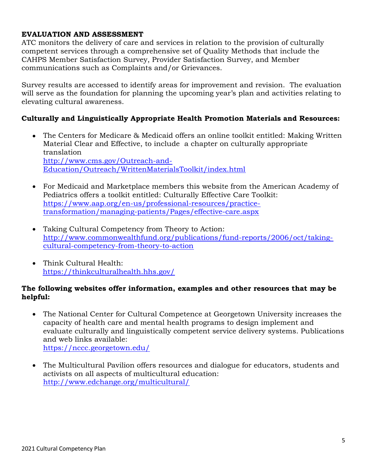# EVALUATION AND ASSESSMENT

 ATC monitors the delivery of care and services in relation to the provision of culturally competent services through a comprehensive set of Quality Methods that include the CAHPS Member Satisfaction Survey, Provider Satisfaction Survey, and Member communications such as Complaints and/or Grievances.

 Survey results are accessed to identify areas for improvement and revision. The evaluation will serve as the foundation for planning the upcoming year's plan and activities relating to elevating cultural awareness.

### Culturally and Linguistically Appropriate Health Promotion Materials and Resources:

- • The Centers for Medicare & Medicaid offers an online toolkit entitled: Making Written Material Clear and Effective, to include a chapter on culturally appropriate translation http://www.cms.gov/Outreach-and-Education/Outreach/WrittenMaterialsToolkit/index.html
- For Medicaid and Marketplace members this website from the American Academy of Pediatrics offers a toolkit entitled: Culturally Effective Care Toolkit: https://www.aap.org/en-us/professional-resources/practicetransformation/managing-patients/Pages/effective-care.aspx
- Taking Cultural Competency from Theory to Action: http://www.commonwealthfund.org/publications/fund-reports/2006/oct/takingcultural-competency-from-theory-to-action
- Think Cultural Health: https://thinkculturalhealth.hhs.gov/

### The following websites offer information, examples and other resources that may be helpful:

- The National Center for Cultural Competence at Georgetown University increases the capacity of health care and mental health programs to design implement and evaluate culturally and linguistically competent service delivery systems. Publications and web links available: https://nccc.georgetown.edu/
- The Multicultural Pavilion offers resources and dialogue for educators, students and activists on all aspects of multicultural education: http://www.edchange.org/multicultural/